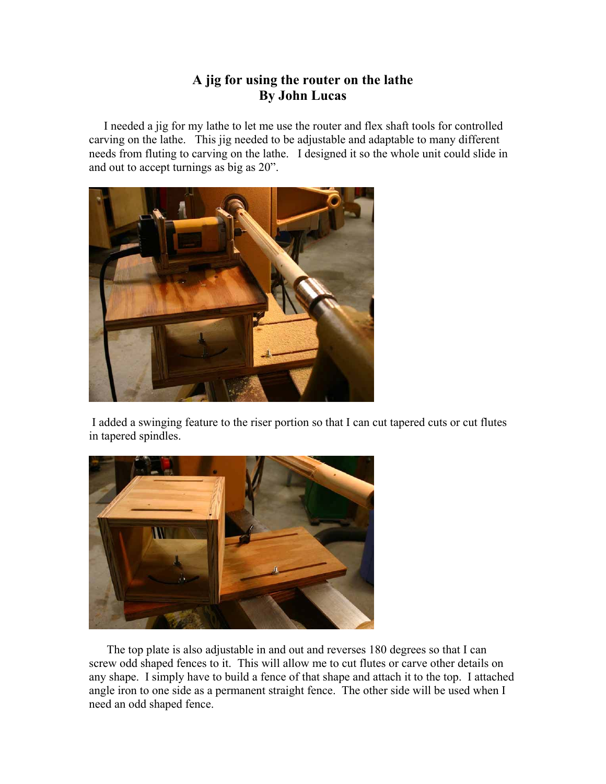## **A jig for using the router on the lathe By John Lucas**

 I needed a jig for my lathe to let me use the router and flex shaft tools for controlled carving on the lathe. This jig needed to be adjustable and adaptable to many different needs from fluting to carving on the lathe. I designed it so the whole unit could slide in and out to accept turnings as big as 20".



 I added a swinging feature to the riser portion so that I can cut tapered cuts or cut flutes in tapered spindles.



 The top plate is also adjustable in and out and reverses 180 degrees so that I can screw odd shaped fences to it. This will allow me to cut flutes or carve other details on any shape. I simply have to build a fence of that shape and attach it to the top. I attached angle iron to one side as a permanent straight fence. The other side will be used when I need an odd shaped fence.